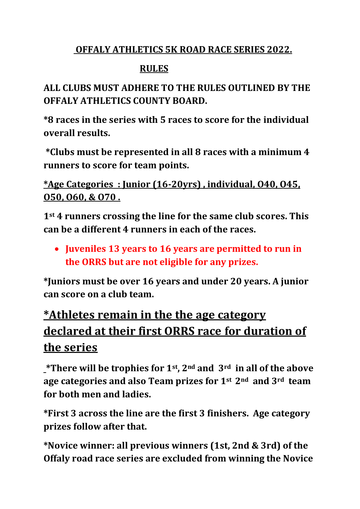## **OFFALY ATHLETICS 5K ROAD RACE SERIES 2022.**

## **RULES**

# **ALL CLUBS MUST ADHERE TO THE RULES OUTLINED BY THE OFFALY ATHLETICS COUNTY BOARD.**

**\*8 races in the series with 5 races to score for the individual overall results.**

**\*Clubs must be represented in all 8 races with a minimum 4 runners to score for team points.** 

**\*Age Categories : Junior (16-20yrs) , individual, O40, O45, O50, O60, & O70 .** 

**1st 4 runners crossing the line for the same club scores. This can be a different 4 runners in each of the races.**

• **Juveniles 13 years to 16 years are permitted to run in the ORRS but are not eligible for any prizes.**

**\*Juniors must be over 16 years and under 20 years. A junior can score on a club team.**

# **\*Athletes remain in the the age category declared at their first ORRS race for duration of the series**

**\*There will be trophies for 1st, 2nd and 3rd in all of the above age categories and also Team prizes for 1st 2nd and 3rd team for both men and ladies.** 

**\*First 3 across the line are the first 3 finishers. Age category prizes follow after that.**

**\*Novice winner: all previous winners (1st, 2nd & 3rd) of the Offaly road race series are excluded from winning the Novice**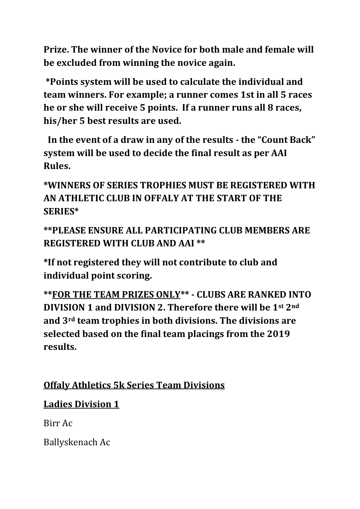**Prize. The winner of the Novice for both male and female will be excluded from winning the novice again.**

**\*Points system will be used to calculate the individual and team winners. For example; a runner comes 1st in all 5 races he or she will receive 5 points. If a runner runs all 8 races, his/her 5 best results are used.**

 **In the event of a draw in any of the results - the "Count Back" system will be used to decide the final result as per AAI Rules.**

**\*WINNERS OF SERIES TROPHIES MUST BE REGISTERED WITH AN ATHLETIC CLUB IN OFFALY AT THE START OF THE SERIES\***

**\*\*PLEASE ENSURE ALL PARTICIPATING CLUB MEMBERS ARE REGISTERED WITH CLUB AND AAI \*\***

**\*If not registered they will not contribute to club and individual point scoring.**

**\*\*FOR THE TEAM PRIZES ONLY\*\* - CLUBS ARE RANKED INTO DIVISION 1 and DIVISION 2. Therefore there will be 1st 2nd and 3rd team trophies in both divisions. The divisions are selected based on the final team placings from the 2019 results.** 

## **Offaly Athletics 5k Series Team Divisions**

# **Ladies Division 1**

Birr Ac

Ballyskenach Ac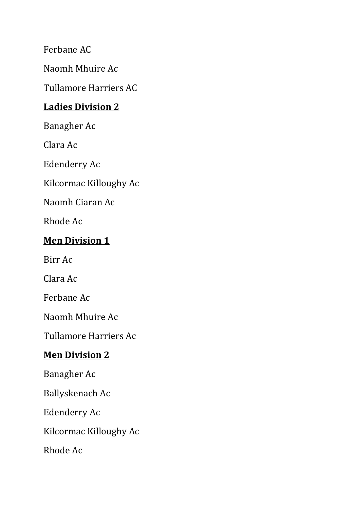Ferbane AC

Naomh Mhuire Ac

Tullamore Harriers AC

#### **Ladies Division 2**

Banagher Ac

Clara Ac

Edenderry Ac

Kilcormac Killoughy Ac

Naomh Ciaran Ac

Rhode Ac

#### **Men Division 1**

Birr Ac

Clara Ac

Ferbane Ac

Naomh Mhuire Ac

Tullamore Harriers Ac

#### **Men Division 2**

Banagher Ac

Ballyskenach Ac

Edenderry Ac

Kilcormac Killoughy Ac

Rhode Ac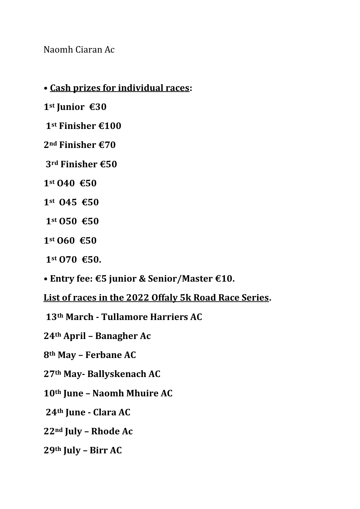Naomh Ciaran Ac

**• Cash prizes for individual races:**

**st Junior €30**

**st Finisher €100**

**nd Finisher €70**

**rd Finisher €50**

- **st O40 €50**
- **st O45 €50**
- **st O50 €50**
- **st O60 €50**
- **st O70 €50.**
- **Entry fee: €5 junior & Senior/Master €10.**

**List of races in the 2022 Offaly 5k Road Race Series.**

**th March - Tullamore Harriers AC**

**th April – Banagher Ac**

**th May – Ferbane AC**

**th May- Ballyskenach AC**

**th June – Naomh Mhuire AC**

**th June - Clara AC**

**nd July – Rhode Ac**

**th July – Birr AC**